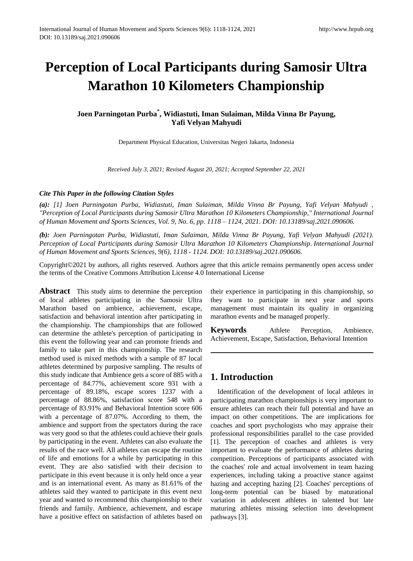# **Perception of Local Participants during Samosir Ultra Marathon 10 Kilometers Championship**

### **Joen Parningotan Purba\* , Widiastuti, Iman Sulaiman, Milda Vinna Br Payung, Yafi Velyan Mahyudi**

Department Physical Education, Universitas Negeri Jakarta, Indonesia

*Received July 3, 2021; Revised August 20, 2021; Accepted September 22, 2021*

#### *Cite This Paper in the following Citation Styles*

*(a): [1] Joen Parningotan Purba, Widiastuti, Iman Sulaiman, Milda Vinna Br Payung, Yafi Velyan Mahyudi , "Perception of Local Participants during Samosir Ultra Marathon 10 Kilometers Championship," International Journal of Human Movement and Sports Sciences, Vol. 9, No. 6, pp. 1118 – 1124, 2021. DOI: 10.13189/saj.2021.090606.*

*(b): Joen Parningotan Purba, Widiastuti, Iman Sulaiman, Milda Vinna Br Payung, Yafi Velyan Mahyudi (2021). Perception of Local Participants during Samosir Ultra Marathon 10 Kilometers Championship*. *International Journal of Human Movement and Sports Sciences, 9(6), 1118 - 1124. DOI: 10.13189/saj.2021.090606.*

Copyright©2021 by authors, all rights reserved. Authors agree that this article remains permanently open access under the terms of the Creative Commons Attribution License 4.0 International License

**Abstract** This study aims to determine the perception of local athletes participating in the Samosir Ultra Marathon based on ambience, achievement, escape, satisfaction and behavioral intention after participating in the championship. The championships that are followed can determine the athlete's perception of participating in this event the following year and can promote friends and family to take part in this championship. The research method used is mixed methods with a sample of 87 local athletes determined by purposive sampling. The results of this study indicate that Ambience gets a score of 885 with a percentage of 84.77%, achievement score 931 with a percentage of 89.18%, escape scores 1237 with a percentage of 88.86%, satisfaction score 548 with a percentage of 83.91% and Behavioral Intention score 606 with a percentage of 87.07%. According to them, the ambience and support from the spectators during the race was very good so that the athletes could achieve their goals by participating in the event. Athletes can also evaluate the results of the race well. All athletes can escape the routine of life and emotions for a while by participating in this event. They are also satisfied with their decision to participate in this event because it is only held once a year and is an international event. As many as 81.61% of the athletes said they wanted to participate in this event next year and wanted to recommend this championship to their friends and family. Ambience, achievement, and escape have a positive effect on satisfaction of athletes based on

their experience in participating in this championship, so they want to participate in next year and sports management must maintain its quality in organizing marathon events and be managed properly.

**Keywords** Athlete Perception, Ambience, Achievement, Escape, Satisfaction, Behavioral Intention

## **1. Introduction**

Identification of the development of local athletes in participating marathon championships is very important to ensure athletes can reach their full potential and have an impact on other competitions. The are implications for coaches and sport psychologists who may appraise their professional responsibilities parallel to the case provided [1]. The perception of coaches and athletes is very important to evaluate the performance of athletes during competition. Perceptions of participants associated with the coaches' role and actual involvement in team hazing experiences, including taking a proactive stance against hazing and accepting hazing [2]. Coaches' perceptions of long-term potential can be biased by maturational variation in adolescent athletes in talented but late maturing athletes missing selection into development pathways [3].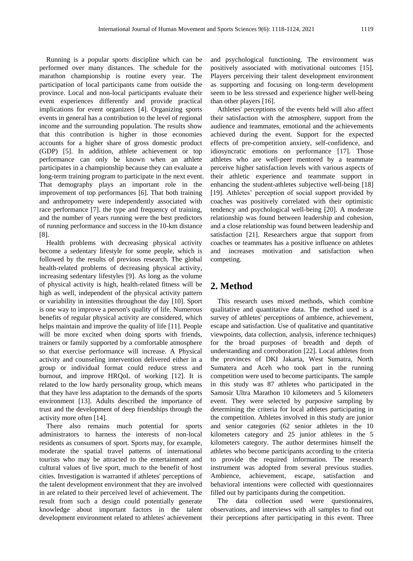Running is a popular sports discipline which can be performed over many distances. The schedule for the marathon championship is routine every year. The participation of local participants came from outside the province. Local and non-local participants evaluate their event experiences differently and provide practical implications for event organizers [4]. Organizing sports events in general has a contribution to the level of regional income and the surrounding population. The results show that this contribution is higher in those economies accounts for a higher share of gross domestic product (GDP) [5]. In addition, athlete achievement or top performance can only be known when an athlete participates in a championship because they can evaluate a long-term training program to participate in the next event. That demography plays an important role in the improvement of top performances [6]. That both training and anthropometry were independently associated with race performance [7]. the type and frequency of training, and the number of years running were the best predictors of running performance and success in the 10-km distance [8].

Health problems with decreasing physical activity become a sedentary lifestyle for some people, which is followed by the results of previous research. The global health-related problems of decreasing physical activity, increasing sedentary lifestyles [9]. As long as the volume of physical activity is high, health-related fitness will be high as well, independent of the physical activity pattern or variability in intensities throughout the day [10]. Sport is one way to improve a person's quality of life. Numerous benefits of regular physical activity are considered, which helps maintain and improve the quality of life [11]. People will be more excited when doing sports with friends, trainers or family supported by a comfortable atmosphere so that exercise performance will increase. A Physical activity and counseling intervention delivered either in a group or individual format could reduce stress and burnout, and improve HRQoL of working [12]. It is related to the low hardy personality group, which means that they have less adaptation to the demands of the sports environment [13]. Adults described the importance of trust and the development of deep friendships through the activity more often [14].

There also remains much potential for sports administrators to harness the interests of non-local residents as consumers of sport. Sports may, for example, moderate the spatial travel patterns of international tourists who may be attracted to the entertainment and cultural values of live sport, much to the benefit of host cities. Investigation is warranted if athletes' perceptions of the talent development environment that they are involved in are related to their perceived level of achievement. The result from such a design could potentially generate knowledge about important factors in the talent development environment related to athletes' achievement

and psychological functioning. The environment was positively associated with motivational outcomes [15]. Players perceiving their talent development environment as supporting and focusing on long-term development seem to be less stressed and experience higher well-being than other players [16].

Athletes' perceptions of the events held will also affect their satisfaction with the atmosphere, support from the audience and teammates, emotional and the achievements achieved during the event. Support for the expected effects of pre-competition anxiety, self-confidence, and idiosyncratic emotions on performance [17]. Those athletes who are well-peer mentored by a teammate perceive higher satisfaction levels with various aspects of their athletic experience and teammate support in enhancing the student-athletes subjective well-being [18] [19]. Athletes' perception of social support provided by coaches was positively correlated with their optimistic tendency and psychological well-being [20]. A moderate relationship was found between leadership and cohesion, and a close relationship was found between leadership and satisfaction [21]. Researchers argue that support from coaches or teammates has a positive influence on athletes and increases motivation and satisfaction when competing.

## **2. Method**

This research uses mixed methods, which combine qualitative and quantitative data. The method used is a survey of athletes' perceptions of ambience, achievement, escape and satisfaction. Use of qualitative and quantitative viewpoints, data collection, analysis, inference techniques) for the broad purposes of breadth and depth of understanding and corroboration [22]. Local athletes from the provinces of DKI Jakarta, West Sumatra, North Sumatera and Aceh who took part in the running competition were used to become participants. The sample in this study was 87 athletes who participated in the Samosir Ultra Marathon 10 kilometers and 5 kilometers event. They were selected by purposive sampling by determining the criteria for local athletes participating in the competition. Athletes involved in this study are junior and senior categories (62 senior athletes in the 10 kilometers category and 25 junior athletes in the 5 kilometers category. The author determines himself the athletes who become participants according to the criteria to provide the required information. The research instrument was adopted from several previous studies. Ambience, achievement, escape, satisfaction and behavioral intentions were collected with questionnaires filled out by participants during the competition.

The data collection used were questionnaires, observations, and interviews with all samples to find out their perceptions after participating in this event. Three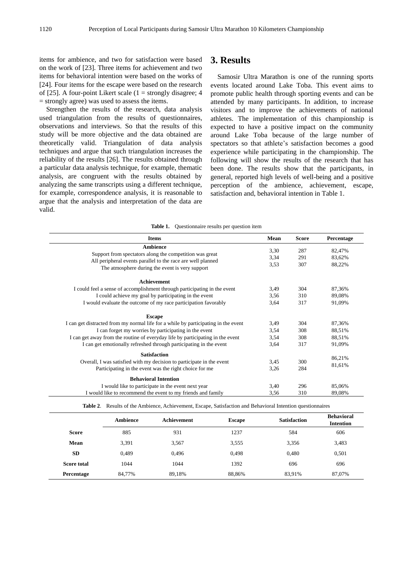items for ambience, and two for satisfaction were based on the work of [23]. Three items for achievement and two items for behavioral intention were based on the works of [24]. Four items for the escape were based on the research of [25]. A four-point Likert scale  $(1 =$  strongly disagree; 4 = strongly agree) was used to assess the items.

Strengthen the results of the research, data analysis used triangulation from the results of questionnaires, observations and interviews. So that the results of this study will be more objective and the data obtained are theoretically valid. Triangulation of data analysis techniques and argue that such triangulation increases the reliability of the results [26]. The results obtained through a particular data analysis technique, for example, thematic analysis, are congruent with the results obtained by analyzing the same transcripts using a different technique, for example, correspondence analysis, it is reasonable to argue that the analysis and interpretation of the data are valid.

#### **3. Results**

Samosir Ultra Marathon is one of the running sports events located around Lake Toba. This event aims to promote public health through sporting events and can be attended by many participants. In addition, to increase visitors and to improve the achievements of national athletes. The implementation of this championship is expected to have a positive impact on the community around Lake Toba because of the large number of spectators so that athlete's satisfaction becomes a good experience while participating in the championship. The following will show the results of the research that has been done. The results show that the participants, in general, reported high levels of well-being and a positive perception of the ambience, achievement, escape, satisfaction and, behavioral intention in Table 1.

| <b>Items</b>                                                                                                                                                                                                                                                                                                         | Mean                         | <b>Score</b>             | Percentage                           |
|----------------------------------------------------------------------------------------------------------------------------------------------------------------------------------------------------------------------------------------------------------------------------------------------------------------------|------------------------------|--------------------------|--------------------------------------|
| Ambience<br>Support from spectators along the competition was great<br>All peripheral events parallel to the race are well planned<br>The atmosphere during the event is very support<br><b>Achievement</b>                                                                                                          | 3,30<br>3,34<br>3,53         | 287<br>291<br>307        | 82,47%<br>83.62%<br>88,22%           |
| I could feel a sense of accomplishment through participating in the event<br>I could achieve my goal by participating in the event<br>I would evaluate the outcome of my race participation favorably                                                                                                                | 3,49<br>3,56<br>3,64         | 304<br>310<br>317        | 87,36%<br>89,08%<br>91,09%           |
| <b>Escape</b><br>I can get distracted from my normal life for a while by participating in the event<br>I can forget my worries by participating in the event<br>I can get away from the routine of everyday life by participating in the event<br>I can get emotionally refreshed through participating in the event | 3,49<br>3,54<br>3,54<br>3,64 | 304<br>308<br>308<br>317 | 87,36%<br>88,51%<br>88,51%<br>91,09% |
| <b>Satisfaction</b><br>Overall, I was satisfied with my decision to participate in the event<br>Participating in the event was the right choice for me                                                                                                                                                               | 3,45<br>3,26                 | 300<br>284               | 86,21%<br>81,61%                     |
| <b>Behavioral Intention</b><br>I would like to participate in the event next year<br>I would like to recommend the event to my friends and family                                                                                                                                                                    | 3,40<br>3,56                 | 296<br>310               | 85,06%<br>89,08%                     |

**Table 1.** Questionnaire results per question item

**Table 2**. Results of the Ambience, Achievement, Escape, Satisfaction and Behavioral Intention questionnaires

|                   | Ambience | Achievement | <b>Escape</b> | <b>Satisfaction</b> | <b>Behavioral</b><br><b>Intention</b> |
|-------------------|----------|-------------|---------------|---------------------|---------------------------------------|
| <b>Score</b>      | 885      | 931         | 1237          | 584                 | 606                                   |
| Mean              | 3,391    | 3,567       | 3,555         | 3,356               | 3,483                                 |
| <b>SD</b>         | 0.489    | 0,496       | 0.498         | 0.480               | 0,501                                 |
| Score total       | 1044     | 1044        | 1392          | 696                 | 696                                   |
| <b>Percentage</b> | 84.77%   | 89,18%      | 88.86%        | 83.91%              | 87.07%                                |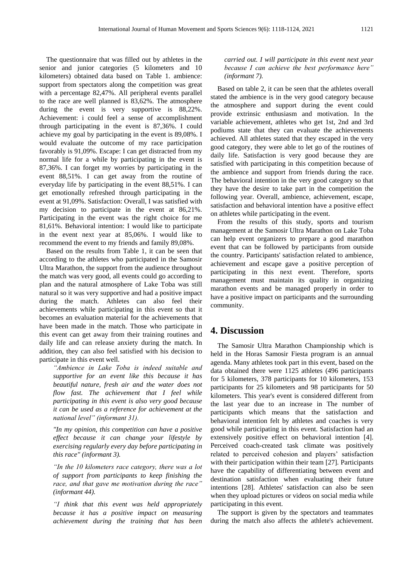The questionnaire that was filled out by athletes in the senior and junior categories (5 kilometers and 10 kilometers) obtained data based on Table 1. ambience: support from spectators along the competition was great with a percentage 82,47%. All peripheral events parallel to the race are well planned is 83,62%. The atmosphere during the event is very supportive is 88,22%. Achievement: i could feel a sense of accomplishment through participating in the event is 87,36%. I could achieve my goal by participating in the event is 89,08%. I would evaluate the outcome of my race participation favorably is 91,09%. Escape: I can get distracted from my normal life for a while by participating in the event is 87,36%. I can forget my worries by participating in the event 88,51%. I can get away from the routine of everyday life by participating in the event 88,51%. I can get emotionally refreshed through participating in the event at 91,09%. Satisfaction: Overall, I was satisfied with my decision to participate in the event at 86,21%. Participating in the event was the right choice for me 81,61%. Behavioral intention: I would like to participate in the event next year at 85,06%. I would like to recommend the event to my friends and family 89,08%.

Based on the results from Table 1, it can be seen that according to the athletes who participated in the Samosir Ultra Marathon, the support from the audience throughout the match was very good, all events could go according to plan and the natural atmosphere of Lake Toba was still natural so it was very supportive and had a positive impact during the match. Athletes can also feel their achievements while participating in this event so that it becomes an evaluation material for the achievements that have been made in the match. Those who participate in this event can get away from their training routines and daily life and can release anxiety during the match. In addition, they can also feel satisfied with his decision to participate in this event well.

*"Ambience in Lake Toba is indeed suitable and supportive for an event like this because it has beautiful nature, fresh air and the water does not flow fast. The achievement that I feel while participating in this event is also very good because it can be used as a reference for achievement at the national level" (informant 31).*

*"In my opinion, this competition can have a positive effect because it can change your lifestyle by exercising regularly every day before participating in this race" (informant 3).*

*"In the 10 kilometers race category, there was a lot of support from participants to keep finishing the race, and that gave me motivation during the race" (informant 44).*

*"I think that this event was held appropriately because it has a positive impact on measuring achievement during the training that has been* 

*carried out. I will participate in this event next year because I can achieve the best performance here" (informant 7).*

Based on table 2, it can be seen that the athletes overall stated the ambience is in the very good category because the atmosphere and support during the event could provide extrinsic enthusiasm and motivation. In the variable achievement, athletes who get 1st, 2nd and 3rd podiums state that they can evaluate the achievements achieved. All athletes stated that they escaped in the very good category, they were able to let go of the routines of daily life. Satisfaction is very good because they are satisfied with participating in this competition because of the ambience and support from friends during the race. The behavioral intention in the very good category so that they have the desire to take part in the competition the following year. Overall, ambience, achievement, escape, satisfaction and behavioral intention have a positive effect on athletes while participating in the event.

From the results of this study, sports and tourism management at the Samosir Ultra Marathon on Lake Toba can help event organizers to prepare a good marathon event that can be followed by participants from outside the country. Participants' satisfaction related to ambience, achievement and escape gave a positive perception of participating in this next event. Therefore, sports management must maintain its quality in organizing marathon events and be managed properly in order to have a positive impact on participants and the surrounding community.

## **4. Discussion**

The Samosir Ultra Marathon Championship which is held in the Horas Samosir Fiesta program is an annual agenda. Many athletes took part in this event, based on the data obtained there were 1125 athletes (496 participants for 5 kilometers, 378 participants for 10 kilometers, 153 participants for 25 kilometers and 98 participants for 50 kilometers. This year's event is considered different from the last year due to an increase in The number of participants which means that the satisfaction and behavioral intention felt by athletes and coaches is very good while participating in this event. Satisfaction had an extensively positive effect on behavioral intention [4]. Perceived coach-created task climate was positively related to perceived cohesion and players' satisfaction with their participation within their team [27]. Participants have the capability of differentiating between event and destination satisfaction when evaluating their future intentions [28]. Athletes' satisfaction can also be seen when they upload pictures or videos on social media while participating in this event.

The support is given by the spectators and teammates during the match also affects the athlete's achievement.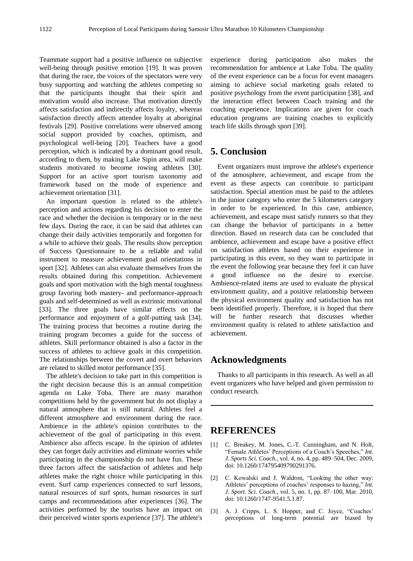Teammate support had a positive influence on subjective well-being through positive emotion [19]. It was proven that during the race, the voices of the spectators were very busy supporting and watching the athletes competing so that the participants thought that their spirit and motivation would also increase. That motivation directly affects satisfaction and indirectly affects loyalty, whereas satisfaction directly affects attendee loyalty at aboriginal festivals [29]. Positive correlations were observed among social support provided by coaches, optimism, and psychological well-being [20]. Teachers have a good perception, which is indicated by a dominant good result, according to them, by making Lake Sipin area, will make students motivated to become rowing athletes [30]. Support for an active sport tourism taxonomy and framework based on the mode of experience and achievement orientation [31].

An important question is related to the athlete's perception and actions regarding his decision to enter the race and whether the decision is temporary or in the next few days. During the race, it can be said that athletes can change their daily activities temporarily and forgotten for a while to achieve their goals. The results show perception of Success Questionnaire to be a reliable and valid instrument to measure achievement goal orientations in sport [32]. Athletes can also evaluate themselves from the results obtained during this competition. Achievement goals and sport motivation with the high mental toughness group favoring both mastery- and performance-approach goals and self-determined as well as extrinsic motivational [33]. The three goals have similar effects on the performance and enjoyment of a golf-putting task [34]. The training process that becomes a routine during the training program becomes a guide for the success of athletes. Skill performance obtained is also a factor in the success of athletes to achieve goals in this competition. The relationships between the covert and overt behaviors are related to skilled motor performance [35].

The athlete's decision to take part in this competition is the right decision because this is an annual competition agenda on Lake Toba. There are many marathon competitions held by the government but do not display a natural atmosphere that is still natural. Athletes feel a different atmosphere and environment during the race. Ambience in the athlete's opinion contributes to the achievement of the goal of participating in this event. Ambience also affects escape. In the opinion of athletes they can forget daily activities and eliminate worries while participating in the championship do not have fun. These three factors affect the satisfaction of athletes and help athletes make the right choice while participating in this event. Surf camp experiences connected to surf lessons, natural resources of surf spots, human resources in surf camps and recommendations after experiences [36]. The activities performed by the tourists have an impact on their perceived winter sports experience [37]. The athlete's

experience during participation also makes the recommendation for ambience at Lake Toba. The quality of the event experience can be a focus for event managers aiming to achieve social marketing goals related to positive psychology from the event participation [38], and the interaction effect between Coach training and the coaching experience. Implications are given for coach education programs are training coaches to explicitly teach life skills through sport [39].

## **5. Conclusion**

Event organizers must improve the athlete's experience of the atmosphere, achievement, and escape from the event as these aspects can contribute to participant satisfaction. Special attention must be paid to the athletes in the junior category who enter the 5 kilometers category in order to be experienced. In this case, ambience, achievement, and escape must satisfy runners so that they can change the behavior of participants in a better direction. Based on research data can be concluded that ambience, achievement and escape have a positive effect on satisfaction athletes based on their experience in participating in this event, so they want to participate in the event the following year because they feel it can have a good influence on the desire to exercise. Ambience-related items are used to evaluate the physical environment quality, and a positive relationship between the physical environment quality and satisfaction has not been identified properly. Therefore, it is hoped that there will be further research that discusses whether environment quality is related to athlete satisfaction and achievement.

## **Acknowledgments**

Thanks to all participants in this research. As well as all event organizers who have helped and given permission to conduct research.

#### **REFERENCES**

- [1] C. Breakey, M. Jones, C.-T. Cunningham, and N. Holt, "Female Athletes' Perceptions of a Coach's Speeches," *Int. J. Sports Sci. Coach.*, vol. 4, no. 4, pp. 489–504, Dec. 2009, doi: 10.1260/174795409790291376.
- [2] C. Kowalski and J. Waldron, "Looking the other way: Athletes' perceptions of coaches' responses to hazing," *Int. J. Sport. Sci. Coach.*, vol. 5, no. 1, pp. 87–100, Mar. 2010, doi: 10.1260/1747-9541.5.1.87.
- [3] A. J. Cripps, L. S. Hopper, and C. Joyce, "Coaches' perceptions of long-term potential are biased by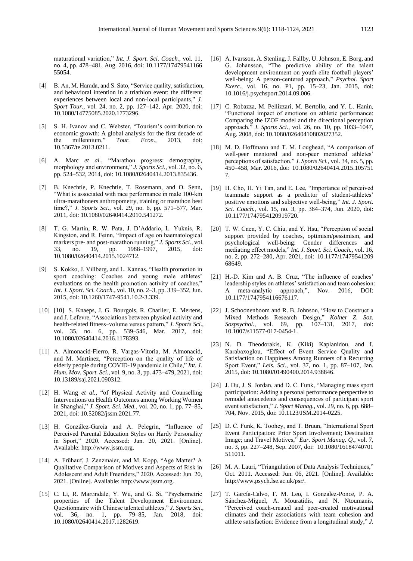maturational variation," *Int. J. Sport. Sci. Coach.*, vol. 11, no. 4, pp. 478–481, Aug. 2016, doi: 10.1177/17479541166 55054.

- [4] B. An, M. Harada, and S. Sato, "Service quality, satisfaction, and behavioral intention in a triathlon event: the different experiences between local and non-local participants," *J. Sport Tour.*, vol. 24, no. 2, pp. 127–142, Apr. 2020, doi: 10.1080/14775085.2020.1773296.
- [5] S. H. Ivanov and C. Webster, "Tourism's contribution to economic growth: A global analysis for the first decade of the millennium," *Tour. Econ.*, 2013, doi: 10.5367/te.2013.0211.
- [6] A. Marc *et al.*, "Marathon progress: demography, morphology and environment," *J. Sports Sci.*, vol. 32, no. 6, pp. 524–532, 2014, doi: 10.1080/02640414.2013.835436.
- [7] B. Knechtle, P. Knechtle, T. Rosemann, and O. Senn, "What is associated with race performance in male 100-km ultra-marathoners anthropometry, training or marathon best time?," *J. Sports Sci.*, vol. 29, no. 6, pp. 571–577, Mar. 2011, doi: 10.1080/02640414.2010.541272.
- [8] T. G. Martin, R. W. Pata, J. D'Addario, L. Yuknis, R. Kingston, and R. Feinn, "Impact of age on haematological markers pre- and post-marathon running," *J. Sports Sci.*, vol. 33, no. 19, pp. 1988–1997, 2015, doi: 10.1080/02640414.2015.1024712.
- [9] S. Kokko, J. Villberg, and L. Kannas, "Health promotion in sport coaching: Coaches and young male athletes' evaluations on the health promotion activity of coaches," *Int. J. Sport. Sci. Coach.*, vol. 10, no. 2–3, pp. 339–352, Jun. 2015, doi: 10.1260/1747-9541.10.2-3.339.
- [10] [10] S. Knaeps, J. G. Bourgois, R. Charlier, E. Mertens, and J. Lefevre, "Associations between physical activity and health-related fitness–volume versus pattern," *J. Sports Sci.*, vol. 35, no. 6, pp. 539–546, Mar. 2017, doi: 10.1080/02640414.2016.1178393.
- [11] A. Almonacid-Fierro, R. Vargas-Vitoria, M. Almonacid, and M. Martínez, "Perception on the quality of life of elderly people during COVID-19 pandemic in Chile," *Int. J. Hum. Mov. Sport. Sci.*, vol. 9, no. 3, pp. 473–479, 2021, doi: 10.13189/saj.2021.090312.
- [12] H. Wang *et al.*, "of Physical Activity and Counselling Interventions on Health Outcomes among Working Women in Shanghai," *J. Sport. Sci. Med.*, vol. 20, no. 1, pp. 77–85, 2021, doi: 10.52082/jssm.2021.77.
- [13] H. González-García and A. Pelegrín, "Influence of Perceived Parental Education Styles on Hardy Personality in Sport," 2020. Accessed: Jun. 20, 2021. [Online]. Available: http://www.jssm.org.
- [14] A. Frühauf, J. Zenzmaier, and M. Kopp, "Age Matter? A Qualitative Comparison of Motives and Aspects of Risk in Adolescent and Adult Freeriders," 2020. Accessed: Jun. 20, 2021. [Online]. Available: http://www.jssm.org.
- [15] C. Li, R. Martindale, Y. Wu, and G. Si, "Psychometric properties of the Talent Development Environment Questionnaire with Chinese talented athletes," *J. Sports Sci.*, vol. 36, no. 1, pp. 79–85, Jan. 2018, doi: 10.1080/02640414.2017.1282619.
- [16] A. Ivarsson, A. Stenling, J. Fallby, U. Johnson, E. Borg, and G. Johansson, "The predictive ability of the talent development environment on youth elite football players' well-being: A person-centered approach," *Psychol. Sport Exerc.*, vol. 16, no. P1, pp. 15–23, Jan. 2015, doi: 10.1016/j.psychsport.2014.09.006.
- [17] C. Robazza, M. Pellizzari, M. Bertollo, and Y. L. Hanin, "Functional impact of emotions on athletic performance: Comparing the IZOF model and the directional perception approach," *J. Sports Sci.*, vol. 26, no. 10, pp. 1033–1047, Aug. 2008, doi: 10.1080/02640410802027352.
- [18] M. D. Hoffmann and T. M. Loughead, "A comparison of well-peer mentored and non-peer mentored athletes' perceptions of satisfaction," *J. Sports Sci.*, vol. 34, no. 5, pp. 450–458, Mar. 2016, doi: 10.1080/02640414.2015.105751 7.
- [19] H. Cho, H. Yi Tan, and E. Lee, "Importance of perceived teammate support as a predictor of student-athletes' positive emotions and subjective well-being," *Int. J. Sport. Sci. Coach.*, vol. 15, no. 3, pp. 364–374, Jun. 2020, doi: 10.1177/1747954120919720.
- [20] T. W. Cnen, Y. C. Chiu, and Y. Hsu, "Perception of social support provided by coaches, optimism/pessimism, and psychological well-being: Gender differences and mediating effect models," *Int. J. Sport. Sci. Coach.*, vol. 16, no. 2, pp. 272–280, Apr. 2021, doi: 10.1177/17479541209 68649.
- [21] H.-D. Kim and A. B. Cruz, "The influence of coaches' leadership styles on athletes' satisfaction and team cohesion: A meta-analytic approach,", Nov. 2016, DOI: 10.1177/1747954116676117.
- [22] J. Schoonenboom and R. B. Johnson, "How to Construct a Mixed Methods Research Design," *Kolner Z. Soz. Sozpsychol.*, vol. 69, pp. 107–131, 2017, doi: 10.1007/s11577-017-0454-1.
- [23] N. D. Theodorakis, K. (Kiki) Kaplanidou, and I. Karabaxoglou, "Effect of Event Service Quality and Satisfaction on Happiness Among Runners of a Recurring Sport Event," *Leis. Sci.*, vol. 37, no. 1, pp. 87–107, Jan. 2015, doi: 10.1080/01490400.2014.938846.
- [24] J. Du, J. S. Jordan, and D. C. Funk, "Managing mass sport participation: Adding a personal performance perspective to remodel antecedents and consequences of participant sport event satisfaction," *J. Sport Manag.*, vol. 29, no. 6, pp. 688– 704, Nov. 2015, doi: 10.1123/JSM.2014-0225.
- [25] D. C. Funk, K. Toohey, and T. Bruun, "International Sport Event Participation: Prior Sport Involvement; Destination Image; and Travel Motives," *Eur. Sport Manag. Q.*, vol. 7, no. 3, pp. 227–248, Sep. 2007, doi: 10.1080/16184740701 511011.
- [26] M. A. Lauri, "Triangulation of Data Analysis Techniques," Oct. 2011. Accessed: Jun. 06, 2021. [Online]. Available: http://www.psych.lse.ac.uk/psr/.
- [27] T. García-Calvo, F. M. Leo, I. Gonzalez-Ponce, P. A. Sánchez-Miguel, A. Mouratidis, and N. Ntoumanis, "Perceived coach-created and peer-created motivational climates and their associations with team cohesion and athlete satisfaction: Evidence from a longitudinal study," *J.*